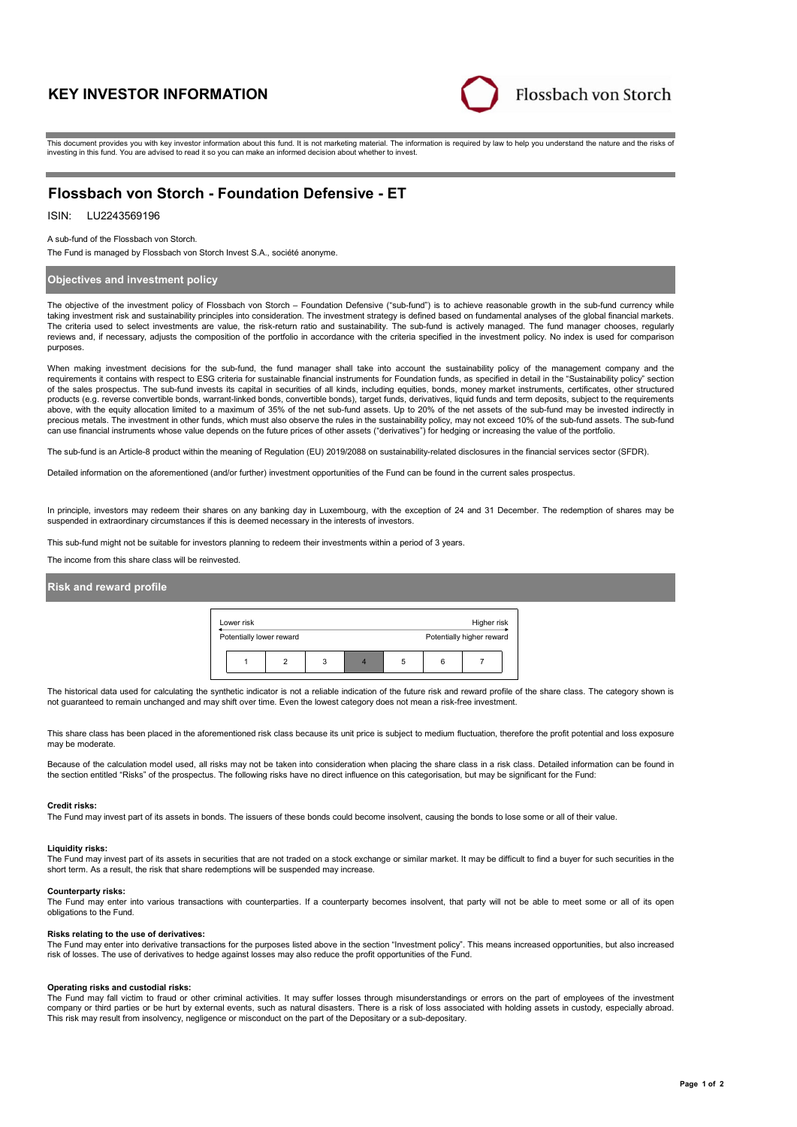# **KEY INVESTOR INFORMATION**



This document provides you with key investor information about this fund. It is not marketing material. The information is required by law to help you understand the nature and the risks of investing in this fund. You are advised to read it so you can make an informed decision about whether to invest.

## **Flossbach von Storch - Foundation Defensive - ET**

## ISIN: LU2243569196

A sub-fund of the Flossbach von Storch.

The Fund is managed by Flossbach von Storch Invest S.A., société anonyme.

## **Objectives and investment policy**

The objective of the investment policy of Flossbach von Storch – Foundation Defensive ("sub-fund") is to achieve reasonable growth in the sub-fund currency while taking investment risk and sustainability principles into consideration. The investment strategy is defined based on fundamental analyses of the global financial markets. The criteria used to select investments are value, the risk-return ratio and sustainability. The sub-fund is actively managed. The fund manager chooses, regularly reviews and, if necessary, adjusts the composition of the portfolio in accordance with the criteria specified in the investment policy. No index is used for comparison purposes.

When making investment decisions for the sub-fund, the fund manager shall take into account the sustainability policy of the management company and the requirements it contains with respect to ESG criteria for sustainable financial instruments for Foundation funds, as specified in detail in the "Sustainability policy" section of the sales prospectus. The sub-fund invests its capital in securities of all kinds, including equities, bonds, money market instruments, certificates, other structured products (e.g. reverse convertible bonds, warrant-linked bonds, convertible bonds), target funds, derivatives, liquid funds and term deposits, subject to the requirements above, with the equity allocation limited to a maximum of 35% of the net sub-fund assets. Up to 20% of the net assets of the sub-fund may be invested indirectly in precious metals. The investment in other funds, which must also observe the rules in the sustainability policy, may not exceed 10% of the sub-fund assets. The sub-fund can use financial instruments whose value depends on the future prices of other assets ("derivatives") for hedging or increasing the value of the portfolio.

The sub-fund is an Article-8 product within the meaning of Regulation (EU) 2019/2088 on sustainability-related disclosures in the financial services sector (SFDR).

Detailed information on the aforementioned (and/or further) investment opportunities of the Fund can be found in the current sales prospectus.

In principle, investors may redeem their shares on any banking day in Luxembourg, with the exception of 24 and 31 December. The redemption of shares may be suspended in extraordinary circumstances if this is deemed necessary in the interests of investors.

This sub-fund might not be suitable for investors planning to redeem their investments within a period of 3 years.

The income from this share class will be reinvested.

### **Risk and reward profile**

| Lower risk               |   |   | Higher risk               |  |
|--------------------------|---|---|---------------------------|--|
| Potentially lower reward |   |   | Potentially higher reward |  |
|                          | 3 | 5 |                           |  |

The historical data used for calculating the synthetic indicator is not a reliable indication of the future risk and reward profile of the share class. The category shown is not guaranteed to remain unchanged and may shift over time. Even the lowest category does not mean a risk-free investment.

This share class has been placed in the aforementioned risk class because its unit price is subject to medium fluctuation, therefore the profit potential and loss exposure may be moderate

Because of the calculation model used, all risks may not be taken into consideration when placing the share class in a risk class. Detailed information can be found in the section entitled "Risks" of the prospectus. The following risks have no direct influence on this categorisation, but may be significant for the Fund:

#### **Credit risks:**

The Fund may invest part of its assets in bonds. The issuers of these bonds could become insolvent, causing the bonds to lose some or all of their value.

#### **Liquidity risks:**

The Fund may invest part of its assets in securities that are not traded on a stock exchange or similar market. It may be difficult to find a buyer for such securities in the short term. As a result, the risk that share redemptions will be suspended may increase.

#### **Counterparty risks:**

The Fund may enter into various transactions with counterparties. If a counterparty becomes insolvent, that party will not be able to meet some or all of its open obligations to the Fund.

#### **Risks relating to the use of derivatives:**

The Fund may enter into derivative transactions for the purposes listed above in the section "Investment policy". This means increased opportunities, but also increased risk of losses. The use of derivatives to hedge against losses may also reduce the profit opportunities of the Fund.

#### **Operating risks and custodial risks:**

The Fund may fall victim to fraud or other criminal activities. It may suffer losses through misunderstandings or errors on the part of employees of the investment company or third parties or be hurt by external events, such as natural disasters. There is a risk of loss associated with holding assets in custody, especially abroad. This risk may result from insolvency, negligence or misconduct on the part of the Depositary or a sub-depositary.